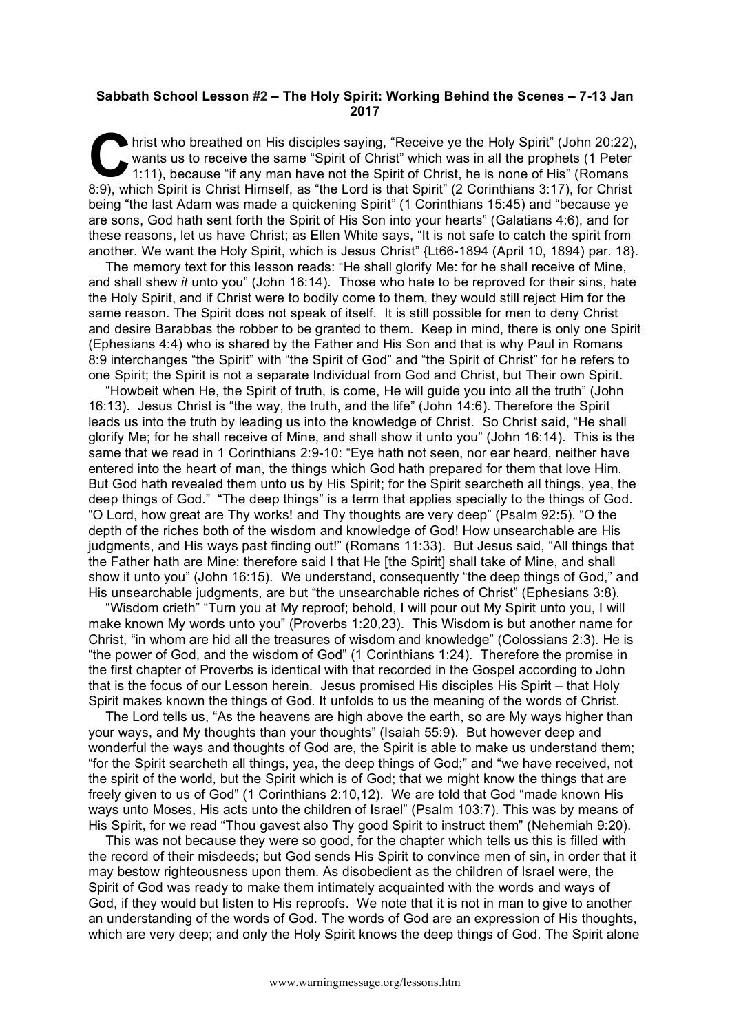## **Sabbath School Lesson #2 – The Holy Spirit: Working Behind the Scenes – 7-13 Jan 2017**

hrist who breathed on His disciples saying, "Receive ye the Holy Spirit" (John 20:22), wants us to receive the same "Spirit of Christ" which was in all the prophets (1 Peter 1:11), because "if any man have not the Spirit o wants us to receive the same "Spirit of Christ" which was in all the prophets (1 Peter 1:11), because "if any man have not the Spirit of Christ, he is none of His" (Romans 8:9), which Spirit is Christ Himself, as "the Lord is that Spirit" (2 Corinthians 3:17), for Christ being "the last Adam was made a quickening Spirit" (1 Corinthians 15:45) and "because ye are sons, God hath sent forth the Spirit of His Son into your hearts" (Galatians 4:6), and for these reasons, let us have Christ; as Ellen White says, "It is not safe to catch the spirit from another. We want the Holy Spirit, which is Jesus Christ" {Lt66-1894 (April 10, 1894) par. 18}.

The memory text for this lesson reads: "He shall glorify Me: for he shall receive of Mine, and shall shew *it* unto you" (John 16:14). Those who hate to be reproved for their sins, hate the Holy Spirit, and if Christ were to bodily come to them, they would still reject Him for the same reason. The Spirit does not speak of itself. It is still possible for men to deny Christ and desire Barabbas the robber to be granted to them. Keep in mind, there is only one Spirit (Ephesians 4:4) who is shared by the Father and His Son and that is why Paul in Romans 8:9 interchanges "the Spirit" with "the Spirit of God" and "the Spirit of Christ" for he refers to one Spirit; the Spirit is not a separate Individual from God and Christ, but Their own Spirit.

"Howbeit when He, the Spirit of truth, is come, He will guide you into all the truth" (John 16:13). Jesus Christ is "the way, the truth, and the life" (John 14:6). Therefore the Spirit leads us into the truth by leading us into the knowledge of Christ. So Christ said, "He shall glorify Me; for he shall receive of Mine, and shall show it unto you" (John 16:14). This is the same that we read in 1 Corinthians 2:9-10: "Eye hath not seen, nor ear heard, neither have entered into the heart of man, the things which God hath prepared for them that love Him. But God hath revealed them unto us by His Spirit; for the Spirit searcheth all things, yea, the deep things of God." "The deep things" is a term that applies specially to the things of God. "O Lord, how great are Thy works! and Thy thoughts are very deep" (Psalm 92:5). "O the depth of the riches both of the wisdom and knowledge of God! How unsearchable are His judgments, and His ways past finding out!" (Romans 11:33). But Jesus said, "All things that the Father hath are Mine: therefore said I that He [the Spirit] shall take of Mine, and shall show it unto you" (John 16:15). We understand, consequently "the deep things of God," and His unsearchable judgments, are but "the unsearchable riches of Christ" (Ephesians 3:8).

"Wisdom crieth" "Turn you at My reproof; behold, I will pour out My Spirit unto you, I will make known My words unto you" (Proverbs 1:20,23). This Wisdom is but another name for Christ, "in whom are hid all the treasures of wisdom and knowledge" (Colossians 2:3). He is "the power of God, and the wisdom of God" (1 Corinthians 1:24). Therefore the promise in the first chapter of Proverbs is identical with that recorded in the Gospel according to John that is the focus of our Lesson herein. Jesus promised His disciples His Spirit – that Holy Spirit makes known the things of God. It unfolds to us the meaning of the words of Christ.

The Lord tells us, "As the heavens are high above the earth, so are My ways higher than your ways, and My thoughts than your thoughts" (Isaiah 55:9). But however deep and wonderful the ways and thoughts of God are, the Spirit is able to make us understand them; "for the Spirit searcheth all things, yea, the deep things of God;" and "we have received, not the spirit of the world, but the Spirit which is of God; that we might know the things that are freely given to us of God" (1 Corinthians 2:10,12). We are told that God "made known His ways unto Moses, His acts unto the children of Israel" (Psalm 103:7). This was by means of His Spirit, for we read "Thou gavest also Thy good Spirit to instruct them" (Nehemiah 9:20).

This was not because they were so good, for the chapter which tells us this is filled with the record of their misdeeds; but God sends His Spirit to convince men of sin, in order that it may bestow righteousness upon them. As disobedient as the children of Israel were, the Spirit of God was ready to make them intimately acquainted with the words and ways of God, if they would but listen to His reproofs. We note that it is not in man to give to another an understanding of the words of God. The words of God are an expression of His thoughts, which are very deep; and only the Holy Spirit knows the deep things of God. The Spirit alone